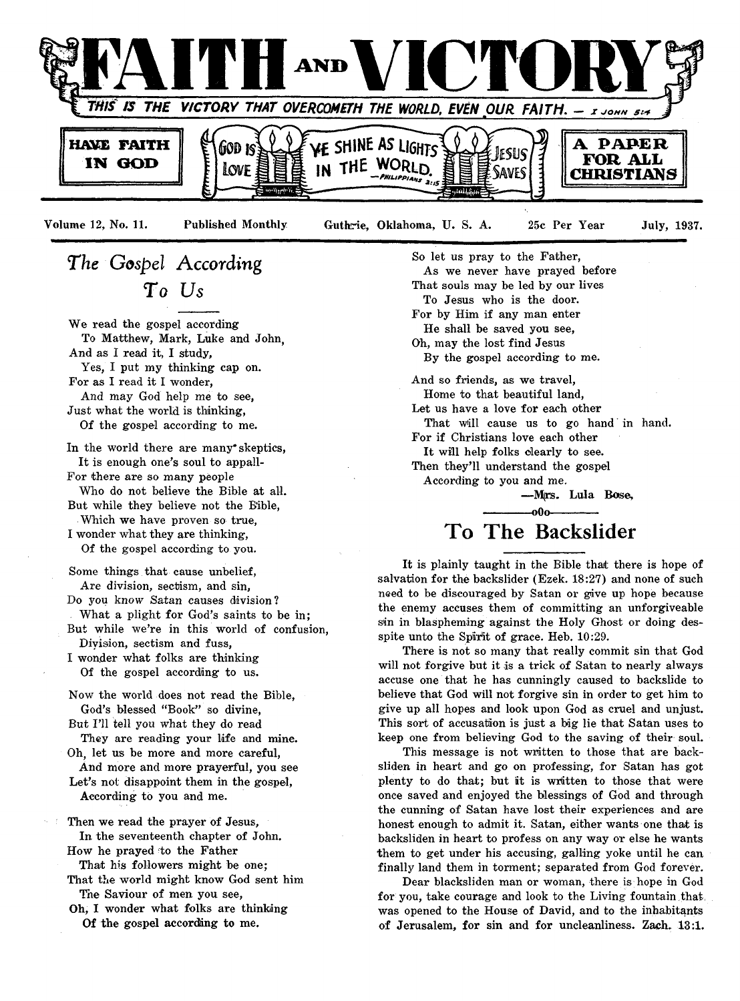

Volume 12, No. 11. Published Monthly Guthrie, Oklahoma, U. S. A. 25c Per Year July, 1937.

## *The Gospel According T o Us*

We read the gospel according To Matthew, Mark, Luke and John, And as I read it, I study, Yes, I put my thinking cap on.

For as I read it I wonder,

And may God help me to see, Just what the world is thinking,

Of the gospel according to me.

In the world there are many\* skeptics, It is enough one's soul to appall-

For there are so many people Who do not believe the Bible at all.

But while they believe not the Bible, Which we have proven so true,

I wonder what they are thinking, Of the gospel according to you.

Some things that cause unbelief, Are division, sectism, and sin,

Do you know *Satan* causes division? What a plight for God's saints to be in;

But while we're in this world of confusion, Division, sectism and fuss,

I wonder what folks are thinking Of the gospel according to us.

Now the world does not read the Bible, God's blessed "Book" so divine,

But I'll tell you what they do read They are reading your life and mine.

Oh, let us be more and more careful, And more and more prayerful, you see

Let's not disappoint them in the gospel, According to you and me.

Then we read the prayer of Jesus, In the seventeenth chapter of John. How he prayed to the Father

That his followers might be one;

That the world might know God sent him The Saviour of men you see,

Oh, I wonder what folks are thinking Of the gospel according to me.

So let us pray to the Father, As we never have prayed before That souls may be led by our lives To Jesus who is the door. For by Him if any man enter He shall be saved you see, Oh, may the lost find Jesus By the gospel according to me. And so friends, as we travel, Home to that beautiful land, Let us have a love for each other That will cause us to go hand in hand. For if Christians love each other It will help folks clearly to see. Then they'll understand the gospel

According to you and me.

— M(rs. Lula Bose,

### -000-**To The Backslider**

It is plainly taught in the Bible that there is hope of salvation for the backslider (Ezek. 18:27) and none of such need to be discouraged by Satan or give up hope because the enemy accuses them of committing an unforgiveable sin in blaspheming against the Holy Ghost or doing desspite unto the Spirit of grace. Heb. 10:29.

There is not so many that really commit sin that God will not forgive but it is a trick of Satan to nearly always accuse one that he has cunningly caused to backslide to believe that God will not forgive sin in order to get him to give up all hopes and look upon God as cruel and unjust. This sort of accusation is just a big lie that Satan uses to keep one from believing God to the saving of their soul.

This message is not written to those that are backsliden in heart and go on professing, for Satan has got plenty to do that; but it is written to those that were once saved and enjoyed the blessings of God and through the cunning of Satan have lost their experiences and are honest enough to admit it. Satan, either wants one that is backsliden in heart to profess on any way or else he wants them to get under his accusing, galling yoke until he can finally land them in torment; separated from God forever.

Dear blacksliden man or woman, there is hope in God for you, take courage and look to the Living fountain that was opened to the House of David, and to the inhabitants of Jerusalem, for sin and for uncleanliness. Zach. 13:1.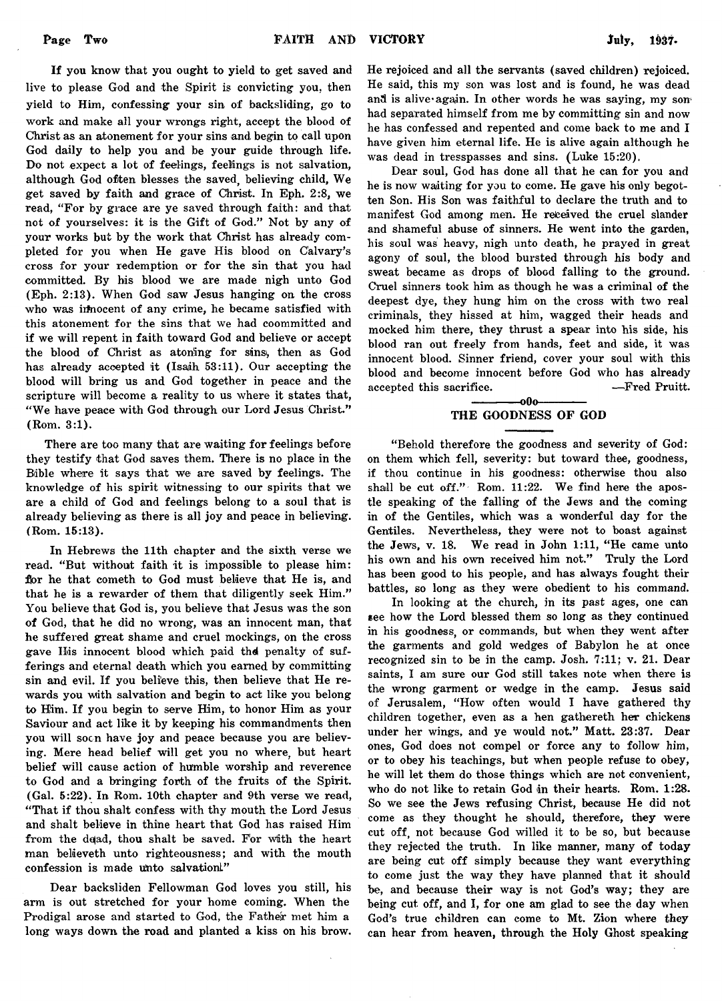If you know that you ought to yield to get saved and live to please God and the Spirit is convicting you. then yield to Him, confessing your sin of backsliding, go to work and make all your wrongs right, accept the blood of Christ as an atonement for your sins and begin to call upon God daily to help you and be your guide through life. Do not expect a lot of feelings, feelings is not salvation, although God often blesses the saved, believing child, We get saved by faith and grace of Christ. In Eph. 2:8, we read, "For by grace are ye saved through faith: and that not of yourselves: it is the Gift of God." Not by any of your works but by the work that Christ has already completed for you when He gave His blood on Calvary's cross for your redemption or for the sin that you had committed. By his blood we are made nigh unto God (Eph. 2:13). When God saw Jesus hanging on the cross who was inhocent of any crime, he became satisfied with this atonement for the sins that we had coommitted and if we will repent in faith toward God and believe or accept the blood of Christ as atoning for sins, then as God has already accepted it (Isaih 53:11). Our accepting the blood will bring us and God together in peace and the scripture will become a reality to us where it states that, "We have peace with God through our Lord Jesus Christ." (Rom. 3:1).

There are too many that are waiting for feelings before they testify that God saves them. There is no place in the Bible where it says that we are saved by feelings. The knowledge of his spirit witnessing to our spirits that we are a child of God and feelings belong to a soul that is already believing as there is all joy and peace in believing. (Rom. 15:13).

In Hebrews the 11th chapter and the sixth verse we read. " But without faith it is impossible to please him: for he that cometh to God must believe that He is, and that he is a rewarder of them that diligently seek Him." You believe that God is, you believe that Jesus was the son of God, that he did no wrong, was an innocent man, that he suffered great shame and cruel mockings, on the cross gave His innocent blood which paid the penalty of sufferings and eternal death which you earned by committing sin and evil. If you believe this, then believe that He rewards you with salvation and begin to act like you belong to Him. If you begin to serve Him, to honor Him as your Saviour and act like it by keeping his commandments then you will soon have joy and peace because you are believing. Mere head belief will get you no where, but heart belief will cause action of humble worship and reverence to God and a bringing forth of the fruits of the Spirit. (Gal. 5:22). In Rom. 10th chapter and 9th verse we read, " That if thou shalt confess with thy mouth the Lord Jesus and shalt believe in thine heart that God has raised Him from the dead, thou shalt be saved. For with the heart man believeth unto righteousness; and with the mouth confession is made unto salvation!"

Dear backsliden Fellowman God loves you still, his arm is out stretched for your home coming. When the Prodigal arose and started to God, the Father met him a long ways down the road and planted a kiss on his brow.

He rejoiced and all the servants (saved children) rejoiced. He said, this my son was lost and is found, he was dead and is alive again. In other words he was saying, my sonhad separated himself from me by committing sin and now he has confessed and repented and come back to me and I have given him eternal life. He is alive again although he was dead in tresspasses and sins. (Luke 15:20).

Dear soul, God has done all that he can for you and he is now waiting for you to come. He gave his only begotten Son. His Son was faithful to declare the truth and to manifest God among men. He received the cruel slander and shameful abuse of sinners. He went into the garden, his soul was heavy, nigh unto death, he prayed in great agony of soul, the blood bursted through his body and sweat became as drops of blood falling to the ground. Cruel sinners took him as though he was a criminal of the deepest dye, they hung him on the cross with two real criminals, they hissed at him, wagged their heads and mocked him there, they thrust a spear into his side, his blood ran out freely from hands, feet and side, it was innocent blood. Sinner friend, cover your soul with this blood and become innocent before God who has already accepted this sacrifice. — Fred Pruitt.

#### $-000-$ THE GOODNESS OF GOD

" Behold therefore the goodness and severity of God: on them which fell, severity: but toward thee, goodness, if thou continue in his goodness: otherwise thou also shall be cut off." Rom. 11:22. We find here the apostle speaking of the falling of the Jews and the coming in of the Gentiles, which was a wonderful day for the Gentiles. Nevertheless, they were not to boast against the Jews, v. 18. We read in John 1:11, "He came unto his own and his own received him not." Truly the Lord has been good to his people, and has always fought their battles, so long as they were obedient to his command.

In looking at the church, in its past ages, one can see how the Lord blessed them so long as they continued in his goodness, or commands, but when they went after the garments and gold wedges of Babylon he at once recognized sin to be in the camp. Josh. 7:11; v. 21. Dear saints, I am sure our God still takes note when there is the wrong garment or wedge in the camp. Jesus said of Jerusalem, "How often would I have gathered thy children together, even as a hen gathereth her chickens under her wings, and ye would not." Matt. 23:37. Dear ones, God does not compel or force any to follow him, or to obey his teachings, but when people refuse to obey, he will let them do those things which are not convenient, who do not like to retain God in their hearts. Rom. 1:28. So we see the Jews refusing Christ, because He did not come as they thought he should, therefore, they were cut off, not because God willed it to be so, but because they rejected the truth. In like manner, many of today are being cut off simply because they want everything to come just the way they have planned that it should be, and because their way is not God's way; they are being cut off, and I, for one am glad to see the day when God's true children can come to Mt. Zion where they can hear from heaven, through the Holy Ghost speaking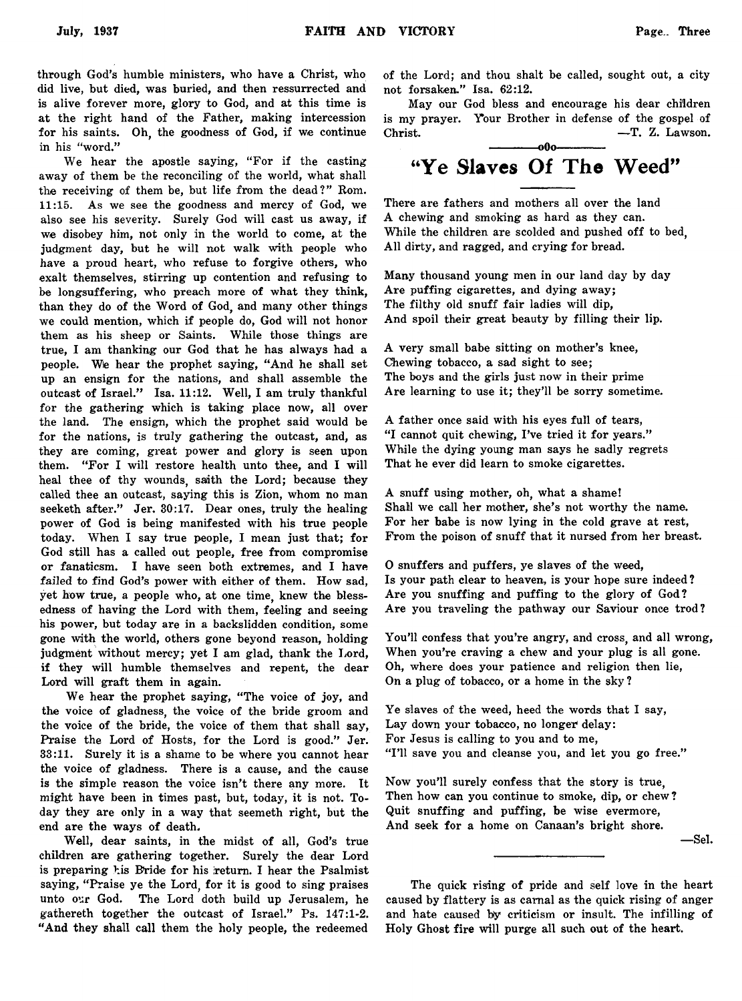through God's humble ministers, who have a Christ, who did live, but died, was buried, and then ressurrected and is alive forever more, glory to God, and at this time is at the right hand of the Father, making intercession for his saints. Oh, the goodness of God, if we continue in his "word."

We hear the apostle saying, "For if the casting away of them be the reconciling of the world, what shall the receiving of them be, but life from the dead?" Rom. 11:15. As we see the goodness and mercy of God, we also see his severity. Surely God will cast us away, if we disobey him, not only in the world to come, at the judgment day, but he will not walk with people who have a proud heart, who refuse to forgive others, who exalt themselves, stirring up contention and refusing to be longsuffering, who preach more of what they think, than they do of the Word of God, and many other things we could mention, which if people do, God will not honor them as his sheep or Saints. While those things are true, I am thanking our God that he has always had a people. Wie hear the prophet saying, " And he shall set up an ensign for the nations, and shall assemble the outcast of Israel." Isa. 11:12. Well, I am truly thankful for the gathering which is taking place now, all over the land. The ensign, which the prophet said would be for the nations, is truly gathering the outcast, and, as they are coming, great power and glory is seen upon them. "For I will restore health unto thee, and I will heal thee of thy wounds, saith the Lord; because they called thee an outcast, saying this is Zion, whom no man seeketh after." Jer. 30:17. Dear ones, truly the healing power of God is being manifested with his true people today. When I say true people, I mean just that; for God still has a called out people, free from compromise or fanaticsm, I have seen both extremes, and I have *failed to* find God's power with either of them. How sad, yet how true, a people who, at one time, knew the blessedness of having the Lord with them, feeling and seeing his power, but today are in a backslidden condition, some gone with the world, others gone beyond reason, holding judgment without mercy; yet I am glad, thank the Lord, if they will humble themselves and repent, the dear Lord will graft them in again.

We hear the prophet saying, "The voice of joy, and the voice of gladness, the voice of the bride groom and the voice of the bride, the voice of them that shall say, Praise the Lord of Hosts, for the Lord is good." Jer. 33:11. Surely it is a shame to be where you cannot hear the voice of gladness. There is a cause, and the cause is the simple reason the voice isn't there any more. It might have been in times past, but, today, it is not. Today they are only in a way that seemeth right, but the end are the ways of death.

Well, dear saints, in the midst of all, God's true children are gathering together. Surely the dear Lord is preparing his Bride for his return. I hear the Psalmist saying, "Praise ye the Lord, for it is good to sing praises unto our God. The Lord doth build up Jerusalem, he gathereth together the outcast of Israel." Ps. 147:1-2. " And they shall call them the holy people, the redeemed of the Lord; and thou shalt be called, sought out, a city not forsaken." Isa. 62:12.

May our God bless and encourage his dear children is my prayer. Your Brother in defense of the gospel of Christ. — T. Z. Lawson. -000--

## "Ye Slaves Of The Weed"

There are fathers and mothers all over the land A chewing and smoking as hard as they can. While the children are scolded and pushed off to bed, All dirty, and ragged, and crying for bread.

Many thousand young men in our land day by day Are puffing cigarettes, and dying away; The filthy old snuff fair ladies will dip, And spoil their great beauty by filling their lip.

A very small babe sitting on mother's knee, Chewing tobacco, a sad sight to see; The boys and the girls just now in their prime Are learning to use it; they'll be sorry sometime.

A father once said with his eyes full of tears, "I cannot quit chewing, I've tried it for years." While the dying young man says he sadly regrets That he ever did learn to smoke cigarettes.

A snuff using mother, oh, what a shame! Shall we call her mother, she's not worthy the name. For her babe is now lying in the cold grave at rest, From the poison of snuff that it nursed from her breast.

O snuffers and puffers, ye slaves of the weed, Is your path clear to heaven, is your hope sure indeed ? Are you snuffing and puffing to the glory of God? Are you traveling the pathway our Saviour once trod?

You'll confess that you're angry, and cross, and all wrong, When you're craving a chew and your plug is all gone. Oh, where does your patience and religion then lie, On a plug of tobacco, or a home in the sky ?

Ye slaves of the weed, heed the words that I say, Lay down your tobacco, no longer delay: For Jesus is calling to you and to me, "I'll save you and cleanse you, and let you go free."

Now you'll surely confess that the story is true, Then how can you continue to smoke, dip, or chew? Quit snuffing and puffing, be wise evermore, And seek for a home on Canaan's bright shore.

— Sel.

The quick rising of pride and self love in the heart caused by flattery is as carnal as the quick rising of anger and hate caused by criticism or insult. The infilling of Holy Ghost fire will purge all such out of the heart.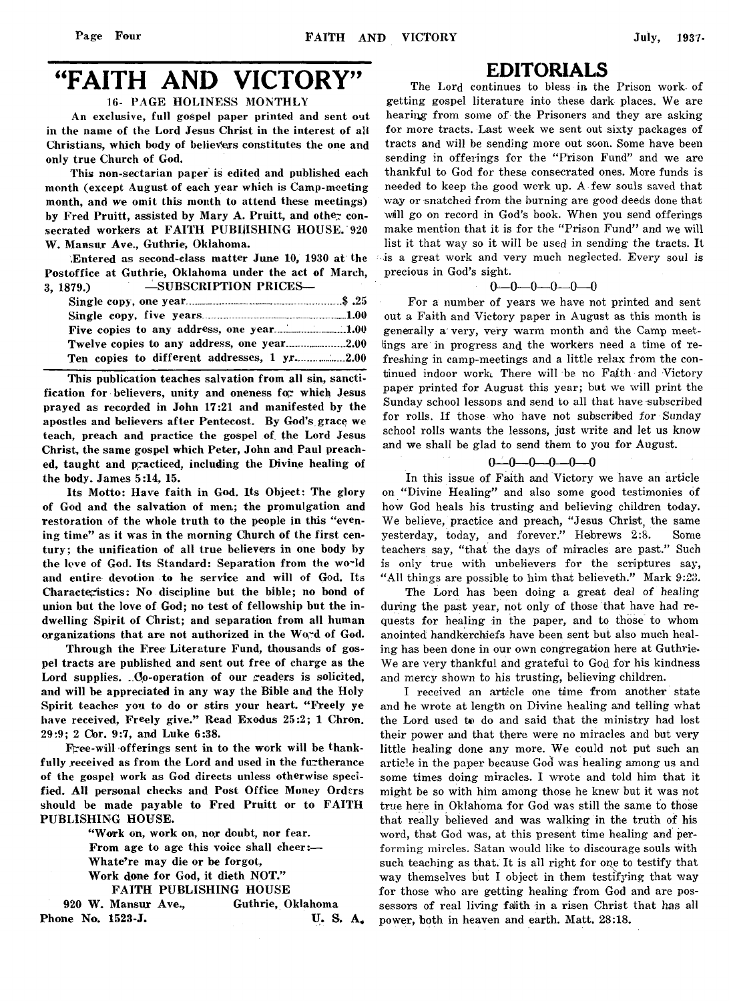## "FAITH AND VICTORY"

16- PAGE HOLINESS MONTHLY

An exclusive, full gospel paper printed and sent out in the name of the Lord Jesus Christ in the interest of all Christians, which body of believers constitutes the one and only true Church of God.

This non-sectarian paper is edited and published each month (except August of each year which is Camp-meeting month, and we omit this month to attend these meetings) by Fred Pruitt, assisted by Mary A. Pruitt, and other consecrated workers at FAITH PUBljISHING HOUSE. 920 W. Mansur Ave., Guthrie, Oklahoma.

Entered as second-class matter June 10, 1930 at the Postoffice at Guthrie, Oklahoma under the act of March, 3, 1879.) — SUBSCRIPTION PRICES—

This publication teaches salvation from all sin, sanctification for believers, unity and oneness for which Jesus prayed as recorded in John 17:21 and manifested by the apostles and believers after Pentecost. By God's grace we teach, preach and practice the gospel of the Lord Jesus Christ, the same gospel which Peter, John and Paul preached, taught and practiced, including the Divine healing of the body. James 5:14, 15.

Its Motto: Have faith in God. Its Object: The glory of God and the salvation of men; the promulgation and restoration of the whole truth to the people in this "evening time" as it was in the morning Church of the first century; the unification of all true believers in one body by the leve of God. Its Standard: Separation from the world and entire devotion to he service and will of God. Its Characteristics: No discipline but the bible; no bond of union but the love of God; no test of fellowship but the indwelling Spirit of Christ; and separation from all human organizations that are not authorized in the Word of God.

Through the Free Literature Fund, thousands of gospel tracts are published and sent out free of charge as the Lord supplies.  $.0$ o-operation of our  $.2$ eaders is solicited, and will be appreciated in any way the Bible and the Holy Spirit teaches you to do or stirs your heart. " Freely ye have received, Freely give." Read Exodus 25:2; 1 Chron. 29:9; 2 Cbr. 9:7, and Luke 6:38.

Free-will offerings sent in to the work will be thankfully received as from the Lord and used in the furtherance of the gospel work as God directs unless otherwise specified. All personal checks and Post Office Money Orders should be made payable to Fred Pruitt or to FAITH PUBLISHING HOUSE.

> " Work on, work on, nor doubt, nor fear. From age to age this voice shall cheer:— Whate're may die or be forgot, Work done for God, it dieth NOT." FAITH PUBLISHING HOUSE

920 W. Mansur Ave., Guthrie, Oklahoma Phone No. 1523-J. U.S. A.

#### EDITORIALS

The Lord continues to bless in the Prison work of getting gospel literature into these dark places. We are hearing from some of the Prisoners and they are asking for more tracts. Last week we sent out sixty packages of tracts and will be sending more out soon. Some have been sending in offerings for the "Prison Fund" and we are thankful to God for these consecrated ones. More funds is needed to keep the good work up. A few souls saved that way or snatched from the burning are good deeds done that wall go on record in God's book. When you send offerings make mention that it is for the "Prison Fund" and we will list it that way so it will be used in sending the tracts. It •is a great work and very much neglected. Every soul is precious in God's sight.

$$
0\hspace{-0.08cm}-\hspace{-0.08cm}0\hspace{-0.08cm}-\hspace{-0.08cm}0\hspace{-0.08cm}-\hspace{-0.08cm}0\hspace{-0.08cm}-\hspace{-0.08cm}0
$$

For a number of years we have not printed and sent out a Faith and Victory paper in August as this month is generally a very, very warm month and the Camp meetings are in progress and the workers need a time of refreshing in camp-meetings and a little relax from the continued indoor work. There will be no Faith and Victory paper printed for August this year; but we will print the Sunday school lessons and send to all that have subscribed for rolls. If those who have not subscribed for Sunday school rolls wants the lessons, just write and let us know and we shall be glad to send them to you for August.

#### $0 - 0 - 0 - 0 - 0$

In this issue of Faith and Victory we have an article on "Divine Healing" and also some good testimonies of how God heals his trusting and believing children today. We believe, practice and preach, "Jesus Christ, the same yesterday, today, and forever." Hebrews 2:8. Some teachers say, "that the days of miracles are past." Such is only true with unbelievers for the scriptures say, "All things are possible to him that believeth." Mark 9:23.

The Lord has been doing a great deal of healing during the past year, not only of those that have had requests for healing in the paper, and to those to whom anointed handkerchiefs have been sent but also much healing has been done in our own congregation here at Guthrie. We are very thankful and grateful to God for his kindness and mercy shown to his trusting, believing children.

I received an article one time from another state and he wrote at length on Divine healing and telling what the Lord used to do and said that the ministry had lost their power and that there were no miracles and but very little healing done any more. We could not put such an article in the paper because God was healing among us and some times doing miracles. I wrote and told him that it might be so with him among those he knew but it was not true here in Oklahoma for God was still the same to those that really believed and was walking in the truth of his word, that God was, at this present time healing and performing mircles. Satan would like to discourage souls with such teaching as that. It is all right for one to testify that way themselves but I object in them testifying that way for those who are getting healing from God and are possessors of real living falith in a risen Christ that has all power, both in heaven and earth. Matt. 28:18.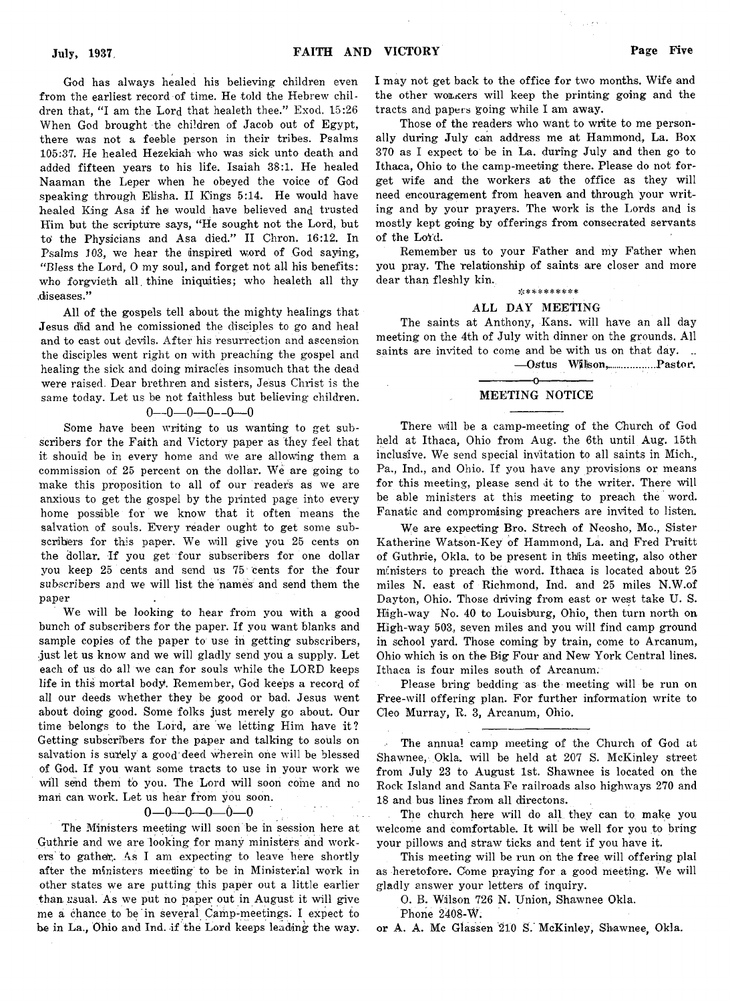God has always healed his believing children even from the earliest record of time. He told the Hebrew children that, "I am the Lord that healeth thee." Exod. 15:26 When God brought the children of Jacob out of Egypt, there was not a feeble person in their tribes. Psalms 105:37. He healed Hezekiah who was sick unto death and added fifteen years to his life. Isaiah 38:1. He healed Naaman the Leper when he obeyed the voice of God speaking through Elisha. II Kings 5:14. He would have healed King Asa if he would have believed and trusted Him but the scripture says, " He sought not the Lord, but to' the Physicians and Asa died." II Chron. 16:12. In Psalms 103, we hear the inspired word of God saying, "Bless the Lord, 0 my soul, and forget not all his benefits: who forgvieth all. thine iniquities; who healeth all thy diseases."

All of the gospels tell about the mighty healings that Jesus did and he comissioned the disciples to go and heal and to cast out devils. After his resurrection and ascension the disciples went right on with preaching the gospel and healing the sick and doing miracles insomuch that the dead were raised. Dear brethren and sisters, Jesus Christ is the same today. Let us be not faithless but believing children.

#### $0 - 0 - 0 - 0 - 0 - 0$

Some have been writing to us wanting to get subscribers for the Faith and Victory paper as they feel that it should be in every home and we are allowing them a commission of 25 percent on the dollar. We are going to make this proposition to all of our readers as we are anxious to get the gospel by the printed page into every home possible for we know that it often means the salvation of souls. Every reader ought to get some subscribers for this paper. We will give you 25 cents on the dollar. If you get four subscribers for one dollar you keep 25 cents and send us 75 cents for the four *subscribers* and we will list the names and send them the paper

We will be looking to hear from you with a good bunch of subscribers for the paper. If you want blanks and sample copies of the paper to use in getting subscribers, .just let us know and we will gladly send you a supply. Let each of us do all we can for souls while the LORD keeps life in this mortal body. Remember, God keeps a record of all our deeds whether they be good or bad. Jesus went about doing good. Some folks just merely go about. Our time belongs to the Lord, are we letting Him have it? Getting subscribers for the paper and talking to souls on salvation is surely a good deed wherein one will be blessed of God. If you want some tracts to use in your work we will send them to you. The Lord will soon come and no man can work. Let us hear from you soon.

#### $0 - 0 - 0 - 0 - 0$

The Ministers meeting will soon be in session here at Guthrie and we are looking for many ministers and workers to gather. As I am expecting to leave here shortly after the ministers meeting to be in Ministerial work in other states we are putting this paper out a little earlier than usual. As we put no paper out in August it will give me a chance to be in several Camp-meetings. I expect to be in La., Ohio and Ind. if the Lord keeps leading the way.

I may not get back to the office for two months. Wife and the other wo&xers will keep the printing going and the tracts and papers going while I am away.

 $\sim 1.5$  s

Those of the readers who want to write to me personally during July can address me at Hammond, La. Box 370 as I expect to be in La. during July and then go to Ithaca, Ohio to the camp-meeting there. Please do not forget wife and the workers at the office as they will need encouragement from heaven and through your writing and by your prayers. The work is the Lords and is mostly kept going by offerings from consecrated servants of the Lord.

Remember us to your Father and my Father when you pray. The relationship of saints are closer and more dear than fleshly kin.

#### \*\*\*\*\*\*\*\*\*\*

#### ALL DAY MEETING

The saints at Anthony, Kans. *will* have an all day meeting on the 4th of July with dinner on the grounds. All saints are invited to come and be with us on that day. ..

— O&tus Wjnjson,........... ...Pastor,

#### ---------------O--------------- MEETING NOTICE

There will be a camp-meeting of the Church of God held at Ithaca, Ohio from Aug. the 6th until Aug. 15th inclusive. We send special invitation to all saints in Mich., Pa., Ind., and Ohio. If you have any provisions or means for this meeting, please send it to the writer. There will be able ministers at this meeting to preach the word. Fanatic and compromising preachers are invited to listen.

We are expecting Bro. Strech of Neosho, Mo., Sister Katherine Watson-Key of Hammond, La. and Fred Pruitt of Guthrie, Okla. to be present in this meeting, also other ministers to preach the word. Ithaca is located about 25 miles N. east of Richmond, Ind. and 25 miles N.W.of Dayton, Ohio. Those driving from east or west take U. S. High-way No. 40 to Louisburg, Ohio, then turn north on High-way 503, seven miles and you will find camp ground in school yard. Those coming by train, come to Arcanum, Ohio which is on the Big Four and New York Central lines. Ithaca is four miles south of Arcanum.

Please bring bedding as the meeting will be run on Free-will offering plan. For further information write to Cleo Murray, R. 3, Arcanum, Ohio.

The annual camp meeting of the Church of God at Shawnee, Okla, will be held at 207 S. McKinley street from July 23 to August 1st. Shawnee is located on the Rock Island and Santa Fe railroads also highways 270 and 18 and bus lines from all directons.

The church here will do all they can to make you welcome and comfortable. It will be well for you to bring your pillows and straw ticks and tent if you have it.

This meeting will be run on the free will offering plal as heretofore. Come praying for a good meeting. We will gladly answer your letters of inquiry.

O. B. Wilson 726 N. Union, Shawnee Okla.

Phone 2408-W.

or A. A. Me Glassen 210 S. McKinley, Shawnee, Okla.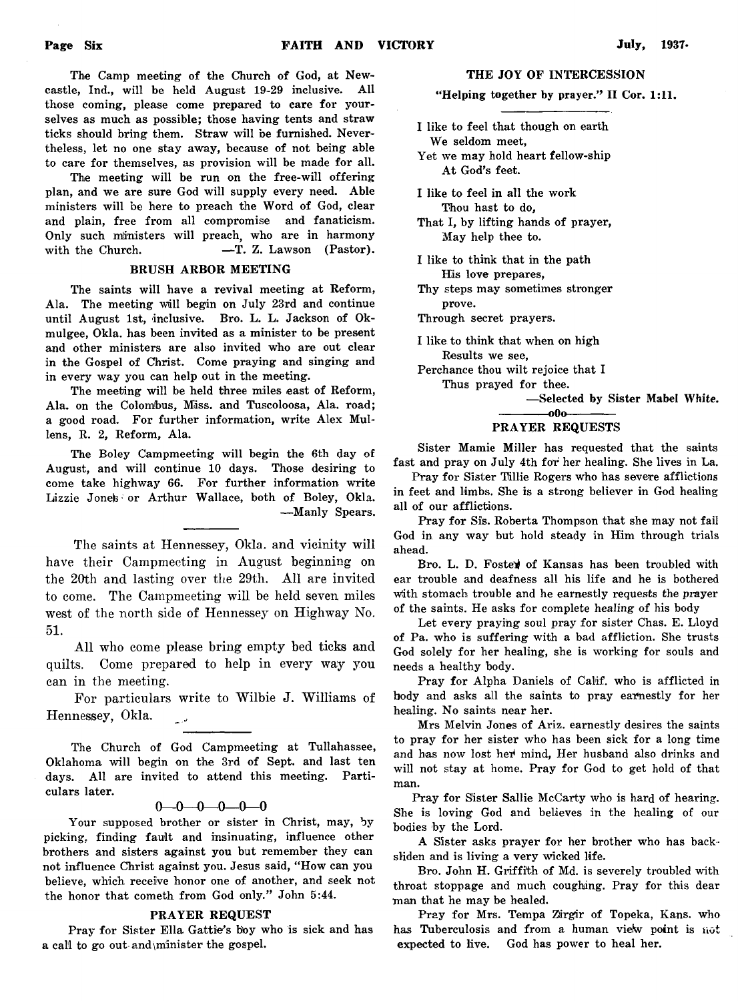The Camp meeting of the Church of God, at Newcastle, Ind., will be held August 19-29 inclusive. All those coming, please come prepared to care for yourselves as much as possible; those having tents and straw ticks should bring them. Straw will be furnished. Nevertheless, let no one stay away, because of not being able to care for themselves, as provision will be made for all.

The meeting will be run on the free-will offering plan, and we are sure God will supply every need. Able ministers will be here to preach the Word of God, clear and plain, free from all compromise and fanaticism. Only such ministers will preach, who are in harmony with the Church.  $-$ T. Z. Lawson (Pastor).

#### BRUSH ARBOR MEETING

The saints will have a revival meeting at Reform, Ala. The meeting will begin on July 23rd and continue until August 1st, inclusive. Bro. L. L. Jackson of Okmulgee, Okla. has been invited as a minister to be present and other ministers are also invited who are out clear in the Gospel of Christ. Come praying and singing and in every way you can help out in the meeting.

The meeting will be held three miles east of Reform, Ala. on the Colombus, Miss, and Tuscoloosa, Ala. road; a good road. For further information, write Alex Mullens, R. 2, Reform, Ala.

The Boley Campmeeting will begin the 6th day of August, and will continue 10 days. Those desiring to come take highway 66. For further information write Lizzie Jones or Arthur Wallace, both of Boley, Okla. — Manly Spears.

**The saints at Hennessey, Okla. and vicinity will have their Campmeeting in August beginning on the 20th and lasting over the 29th. All are invited to come. The Campmeeting will be held seven miles west of the north side of Hennessey on Highway No. 51.**

**All who come please bring empty bed ticks and quilts. Come prepared to help in every way you can in the meeting.**

**For particulars write to Wilbie J. Williams of Hennessey, Okla.** فوسه

The Church of God Campmeeting at Tullahassee, Oklahoma will begin on the 3rd of Sept, and last ten days. All are invited to attend this meeting. Particulars later.

#### $0 - 0 - 0 - 0 - 0$

Your supposed brother or sister in Christ, may, by picking, finding fault and insinuating, influence other brothers and sisters against you but remember they can not influence Christ against you. Jesus said, " How can you believe, which receive honor one of another, and seek not the honor that cometh from God only." John 5:44.

#### PRAYER REQUEST

Pray for Sister Ella Gattie's boy who is sick and has a call to go out and\minister the gospel.

#### THE JOY OF INTERCESSION

"Helping together by prayer." II Cor. 1:11.

I like to feel that though on earth We seldom meet, Yet we may hold heart fellow-ship At God's feet. I like to feel in all the work

Thou hast to do, That I, by lifting hands of prayer,

May help thee to.

I like to think that in the path His love prepares,

Thy steps may sometimes stronger prove.

Through secret prayers.

I like to think that when on high Results we see,

Perchance thou wilt rejoice that I

Thus prayed for thee.

— Selected by Sister Mabel White.

#### ------------- oOo------------- PRAYER REQUESTS

Sister Mamie Miller has requested that the saints fast and pray on July 4th for her healing. She lives in La.

Pray for Sister Tillie Rogers who has severe afflictions in feet and limbs. She is a strong believer in God healing all of our afflictions.

Pray for Sis. Roberta Thompson that she may not fail God in any way but hold steady in Him through trials ahead.

Bro. L. D. Foster of Kansas has been troubled with ear trouble and deafness all his life and he is bothered With stomach trouble and he earnestly requests the prayer of the saints. He asks for complete healing of his body

Let every praying soul pray for sister Chas. E. Lloyd of Pa. who is suffering with a bad affliction. She trusts God solely for her healing, she is working for souls and needs a healthy body.

Pray for Alpha Daniels of Calif, who is afflicted in body and asks all the saints to pray earnestly for her healing. No saints near her.

Mrs Melvin Jones of Ariz. earnestly desires the saints to pray for her sister who has been sick for a long time and has now lost her mind, Her husband also drinks and will not stay at home. Pray for God to get hold of that man.

Pray for Sister Sallie McCarty who is hard of hearing. She is loving God and believes in the healing of our bodies by the Lord.

A Sister asks prayer for her brother who has backsliden and is living a very wicked life.

Bro. John H. Griffith of Md. is severely troubled with throat stoppage and much coughing. Pray for this dear man that he may be healed.

Pray for Mrs. Tempa Zirgir of Topeka, Kans. who has Tuberculosis and from a human view point is not expected to live. God has power to heal her.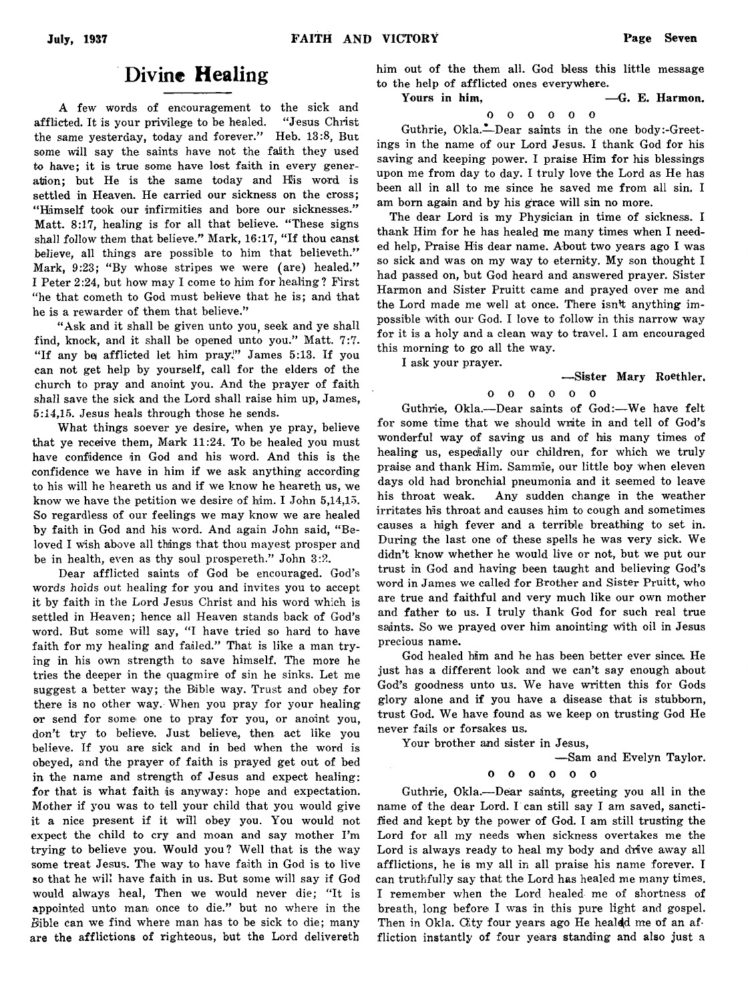#### Divine Healing

A few words of encouragement to the sick and afflicted. It is your privilege to be healed. " Jesus Christ the same yesterday, today and forever." Heb. 13:8, But some will say the saints have not the faith they used to have; it is true some have lost faith in every generation; but He is the same today and His word is settled in Heaven. He carried our sickness on the cross; " Himself took our infirmities and bore our sicknesses." Matt. 8:17, healing is for all that believe. " These signs shall follow them that believe." Mark, 16:17, "If thou canst believe, all things are possible to him that believeth." Mark, 9:23; "By whose stripes we were (are) healed." I Peter 2:24, but how may I come to him for healing? First "he that cometh to God must believe that he is; and that he is a rewarder of them that believe."

"Ask and it shall be given unto you, seek and ye shall find, knock, and it shall be opened unto you." Matt. 7:7. "If any be afflicted let him pray," James 5:13. If you can not get help by yourself, call for the elders of the church to pray and anoint you. And the prayer of faith shall save the sick and the Lord shall raise him up, James, 5:14,15. Jesus heals through those he sends.

What things soever ye desire, when ye pray, believe that ye receive them, Mark 11:24. To be healed you must have confidence in God and his word. And this is the confidence we have in him if we ask anything according to his will he heareth us and if we know he heareth us, we know we have the petition we desire of him. I John 5,14,15. So regardless of our feelings we may know we are healed by faith in God and his word. And again John said, " Beloved I wish above all things that thou mayest prosper and be in health, even as thy soul prospereth." John 3:2.

Dear afflicted saints of God be encouraged. God's words *holds out* healing for you and invites you to accept it by faith in the Lord Jesus Christ and his word which is settled in Heaven; hence all Heaven stands back of God's word. But some will say, "I have tried so hard to have faith for my healing and failed." That is like a man trying in his own strength to save himself. The more he tries the deeper in the quagmire of sin he sinks. Let me suggest a better way; the Bible way. Trust and obey for there is no other way. When you pray for your healing or send for some' one to pray for you, or anoint you, don't try to believe. Just believe,, then act like you believe. If you are sick and in bed when the word is obeyed, and the prayer of faith is prayed get out of bed in the name and strength of Jesus and expect healing: for that is what faith is anyway: hope and expectation. Mother if you was to tell your child that you would give it a nice present if it will obey you. You would not expect the child to cry and moan and say mother I'm trying to believe you. Would you? Well that is the way some treat Jesus. The way to have faith in God is to live so that he will have faith in us. But some will say if God would always heal, Then we would never die; "It is appointed unto man once to die." but no where in the Bible can we find where man has to be sick to die; many are the afflictions of righteous, but the Lord delivereth

him out of the them all. God bless this little message to the help of afflicted ones everywhere.

Yours in him.  $-$ G. E. Harmon.

0 0 0 0 0 0

Guthrie, Okla.— Dear saints in the one body:-Greetings in the name of our Lord Jesus. I thank God for his saving and keeping power. I praise Him for his blessings upon me from day to day. I truly love the Lord as He has been all in all to me since he saved me from all sin. I am born again and by his grace will sin no more.

The dear Lord is my Physician in time of sickness. I thank Him for he has healed me many times when I needed help, Praise His dear name. About two years ago I was so sick and was on my way to eternity. My son thought I had passed on, but God heard and answered prayer. Sister Harmon and Sister Pruitt came and prayed over me and the Lord made me well at once. There isn't anything impossible with our God. I love to follow in this narrow way for it is a holy and a clean way to travel. I am encouraged this morning to go all the way.

I ask your prayer.

#### — Sister Mary Roethler. 0 0 0 0 0 0

Guthrie, Okla.— Dear saints of God:— We have felt for some time that we should write in and tell of God's wonderful way of saving us and of his many times of healing us, especially our children, for which we truly praise and thank Him. Sammie, our little boy when eleven days old had bronchial pneumonia and it seemed to leave his throat weak. Any sudden change in the weather irritates his throat and causes him to cough and sometimes causes a high fever and a terrible breathing to set in. During the last one of these spells he was very sick. We didn't know whether he would live or not, but we put our trust in God and having been taught and believing God's word in James we called for Brother and Sister Pruitt, who are true and faithful and very much like our own mother and father to us. I truly thank God for such real true saints. So we prayed over him anointing with oil in Jesus precious name.

God healed him and he has been better ever since. He just has a different look and we can't say enough about God's goodness unto us. We have written this for Gods glory alone and if you have a disease that is stubborn, trust God. We have found as we keep on trusting God He never fails or forsakes us.

Your brother and sister in Jesus,

— Sam and Evelyn Taylor.

0 0 0 0 0 0

Guthrie, Okla.— Dear saints, greeting you all in the name of the dear Lord. I can still say I am saved, sanctified and kept by the power of God. I am still trusting the Lord for all my needs when sickness overtakes me the Lord is always ready to heal my body and drive away all afflictions, he is my all in all praise his name forever. I can truthfully say that the Lord has healed me many times. I remember when the Lord healed me of shortness of breath, long before I was in this pure light and gospel. Then in Okla. City four years ago He healdd me of an affliction instantly of four years standing and also just a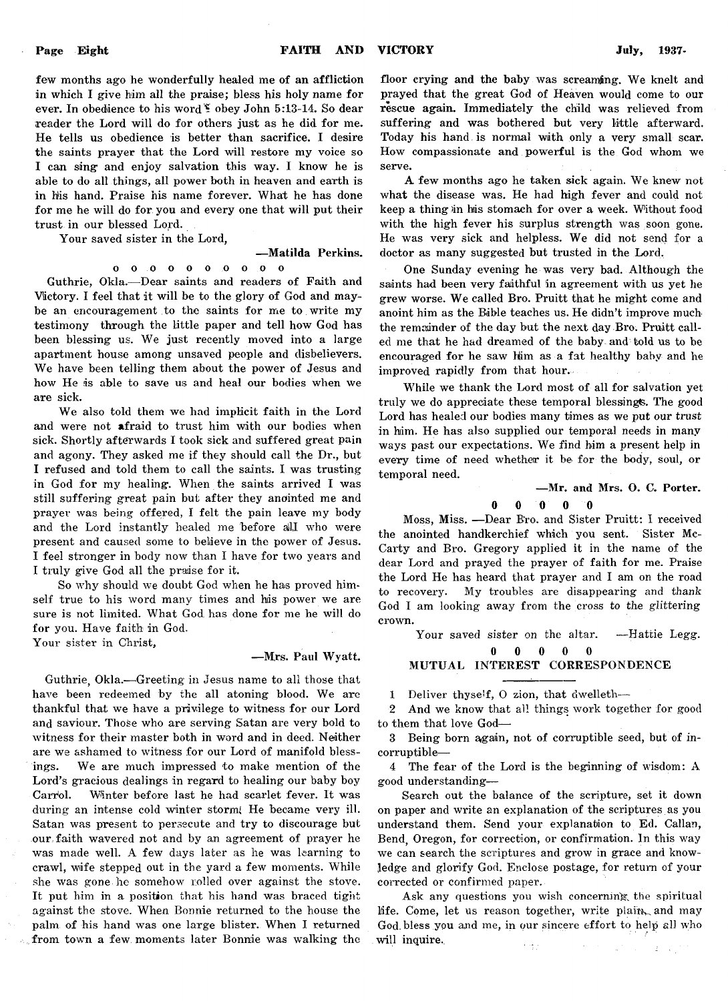few months ago he wonderfully healed me of an affliction in which I give him all the praise; bless his holy name for ever. In obedience to his word \* obey John 5:13-14. So dear reader the Lord will do for others just as he did for me. He tells us obedience is better than sacrifice. I desire the saints prayer that the Lord will restore my voice so I can sing and enjoy salvation this way. I know he is able to do all things, all power both in heaven and earth is in his hand. Praise his name forever. What he has done for me he will do for you and every one that will put their trust in our blessed Lord.

Your saved sister in the Lord,

#### — Matilda Perkins.

O O O O 0 O O 0 0 o Guthrie, Okla.— Dear saints and readers of Faith and Victory. I feel that it will be to the glory of God and maybe an encouragement to the saints for me to write my testimony through the little paper and tell how God has been blessing us. We just recently moved into a large apartment house among unsaved people and disbelievers. We have been telling them about the power of Jesus and how He is able to save us and heal our bodies when we are sick.

We also told them we had implicit faith in the Lord and were not afraid to trust him with our bodies when sick. Shortly afterwards I took sick and suffered great pain and agony. They asked me if they should call the Dr., but I refused and told them to call the saints. I was trusting in God for my healing. When the saints arrived I was still suffering great pain but after they anointed me and prayer was being offered, I felt the pain leave my body and the Lord instantly healed me before all who were present and caused some to believe in the power of Jesus. I feel stronger in body now than I have for two years and I truly give God all the praise for it.

So why should we doubt God when he has proved himself true to his word many times and his power we are sure is not limited. What God. has done for me he will do for you. Have faith in God,

Your sister in Christ,

#### — Mrs. Paul Wyatt.

Guthrie, Okla.— Greeting in Jesus name to all those that have been redeemed by the all atoning blood. We are thankful that we have a privilege to witness for our Lord and saviour. Those who are serving Satan are very bold to witness for their master both in word and in deed. Neither are we ashamed to witness for our Lord of manifold blessings. We are much impressed to make mention of the Lord's gracious dealings in regard to healing our baby boy Carrol. Winter before last he had scarlet fever. It was during an intense cold winter storm; He became very ill. Satan was present to persecute and try to discourage but our .faith wavered not and by an agreement of prayer he was made well. A few days later as he was learning to crawl, wife stepped out in the yard a few moments. While she was gone he somehow rolled over against the stove. It put him in a position that his hand was braced tight against the stove. When Bonnie returned to the house the palm of his hand was one large blister. When I returned from town a few moments later Bonnie was walking the floor crying and the baby was screaming. We knelt and prayed that the great God of Heaven would come to our rescue again. Immediately the child was relieved from suffering and was bothered but very little afterward. Today his hand is normal with only a very small scar. How compassionate and powerful is the God whom we serve.

A few months ago he taken sick again. We knew not what the disease was. He had high fever and could not keep a thing in his stomach for over a week. Without food with the high fever his surplus strength was soon gone. He was very sick and helpless. We did not send for a doctor as many suggested but trusted in the Lord.

One Sunday evening he was very bad. Although the saints had been very faithful in agreement with us yet he grew worse. We called Bro. Pruitt that he might come and anoint him as the Bible teaches us. He didn't improve much the remainder of the day but the next day Bro. Pruitt called me that he had dreamed of the baby and told us to be encouraged for he saw Him as a fat healthy baby and he improved rapidly from that hour.

While we thank the Lord most of all for salvation yet truly we do appreciate these temporal blessings. The good Lord has healed our bodies many times as we put our trust in him. He has also supplied our temporal needs in many ways past our expectations. We find him a present help in every time of need whether it be for the body, soul, or temporal need.

#### — Mr. and Mrs. O. C. Porter.

#### 0 0 0 0 0

Moss, Miss. — Dear B'ro. and Sister Pruitt: I received the anointed handkerchief which you sent. Sister Mc-Carty and Bro. Gregory applied it in the name of the dear Lord and prayed the prayer of faith for me. Praise the Lord He has heard that prayer and I am on the road to recovery. My troubles are disappearing and thank God I am looking away from the cross to the glitteringcrown.

Your saved sister on the altar. - Hattie Legg.

0 0 0 0 0 MUTUAL INTEREST CORRESPONDENCE

1 Deliver thyse'f, O zion, that dwelleth-

2 And we know that all things work together for good to them that love God—

3 Being born again, not of corruptible seed, but of incorruptible—

4 The fear of the Lord is the beginning of wisdom: A good understanding—

Search out the balance of the scripture, set it down on paper and write an explanation of the scriptures as you understand them. Send your explanation to Ed. Callan, Bend, Oregon, for correction, or confirmation. In this way we can search the scriptures and grow in grace and knowledge and glorify God. Enclose postage, for return of your corrected or confirmed paper.

Ask any questions you wish concerning the spiritual life. Come, let us reason together, write plain, and may God. bless you and me, in our sincere effort to help all who will inquire.  $\epsilon$  (  $\epsilon$  ).  $\mathcal{E} = \mathcal{E}_1$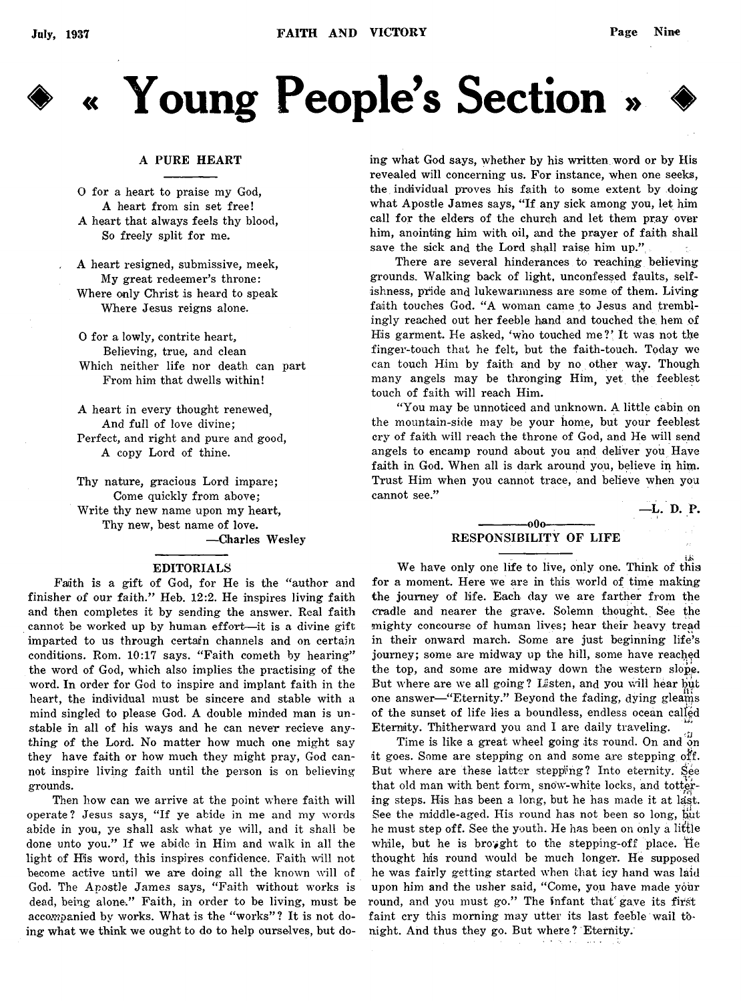

# « Young People's Section »

#### A PURE HEART

0 for a heart to praise my God, A heart from sin set free! A heart that always feels thy blood, So freely split for me.

A heart resigned, submissive, meek, My great redeemer's throne: Where only Christ is heard to speak Where Jesus reigns alone.

0 for a lowly, contrite heart, Believing, true, and clean Which neither life nor death can part From him that dwells within!

A heart in every thought renewed, And full of love divine; Perfect, and right and pure and good, A copy Lord of thine.

Thy nature, gracious Lord impare; Come quickly from above; Write thy new name upon my heart, Thy new, best name of love. — Charles Wesley

#### EDITORIALS

Faith is a gift of God, for He is the "author and finisher of our faith." Heb. 12:2. He inspires living faith and then completes it by sending the answer. Real faith cannot be worked up by human effort--it is a divine gift imparted to us through certain channels and on certain conditions. Rom. 10:17 says. "Faith cometh by hearing" the word of God, which also implies the practising of the word. In order for God to inspire and implant faith in the heart, the individual must be sincere and stable with a mind singled to please God. A double minded man is unstable in all of his ways and he can never recieve anything of the Lord. No matter how much one might say they have faith or how much they might pray, God cannot inspire living faith until the person is on believing grounds.

Then how can we arrive at the point where faith will operate? Jesus says, " If ye abide in me and my words abide in you, ye shall ask what ye will, and it shall be done unto you." If we abide in Him and walk in all the light of His word, this inspires confidence. Faith will not become active until we are doing all the known will of God. The Apostle James says, "Faith without works is dead, being alone." Faith, in order to be living, must be accompanied by works. What is the "works"? It is not doing what we think we ought to do to help ourselves, but doing what God says, whether by his written word or by His revealed will concerning us. For instance, when one seeks, the individual proves his faith to some extent by doing what Apostle James says, " If any sick among you, let him call for the elders of the church and let them pray over him, anointing him with oil, and the prayer of faith shall save the sick and the Lord shall raise him up."

There are several hinderances to reaching believing grounds. Walking back of light, unconfessed faults, selfishness, pride and lukewarmness are some of them. Living faith touches God. "A woman came to Jesus and tremblingly reached out her feeble hand and touched the. hem of His garment. He asked, 'who touched me?' It was not the finger-touch that he felt, but the faith-touch. Today we can touch Him by faith and by no other way. Though many angels may be thronging Him, yet the feeblest touch of faith will reach Him.

" You may be unnoticed and unknown. A little cabin on the mountain-side may be your home, but your feeblest cry of faith will reach the throne of God, and He will send angels to encamp round about you and deliver you Have faith in God. When all is dark around you, believe in him. Trust Him when you cannot trace, and believe when you cannot see."

—L. D. P.

#### -000-RESPONSIBILITY OF LIFE

We have only one life to live, only one. Think of this for a moment. Here we are in this world of time making the journey of life. Each day we are farther from the cradle and nearer the grave. Solemn thought. See the mighty concourse of human lives; hear their heavy tread in their onward march. Some are just beginning life's journey; some are midway up the hill, some have reached the top, and some are midway down the western slope. But where are we all going? Lasten, and you will hear but one answer—" Eternity." Beyond the fading, dying gleams of the sunset of life lies a boundless, endless ocean called Eternity. Thitherward you and I are daily traveling.

Time is like a great wheel going its round. On and on it goes. Some are stepping on and some are stepping off. But where are these latter stepping? Into eternity. See that old man with bent form, snow-white locks, and tottering steps. His has been a long, but he has made it at last. See the middle-aged. His round has not been so long, but he must step off. See the youth. He has been on only a little while, but he is broyght to the stepping-off place. He thought his round would be much longer. He supposed he was fairly getting started when that icy hand was laid upon him and the usher said, "Come, you have made your round, and you must go." The infant that gave its first faint cry this morning may utter its last feeble wail tonight. And thus they go. But where? Eternity.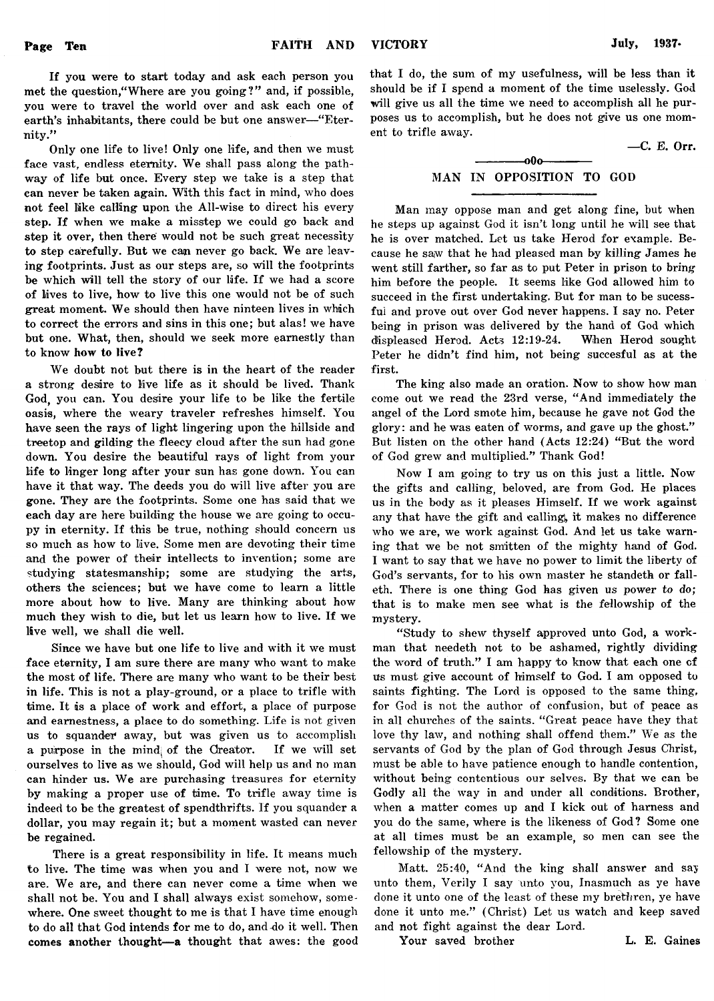If you were to start today and ask each person you met the question," Where are you going?" and, if possible, you were to travel the world over and ask each one of earth's inhabitants, there could be but one answer—"Eternity."

Only one life to live! Only one life, and then we must face vast, endless eternity. We shall pass along the pathway of life but once. Every step we take is a step that can never be taken again. With this fact in mind, who does not feel like calling upon the All-wise to direct his every step. If when we make a misstep we could go back and step it over, then there would not be such great necessity to step carefully. But we can never go back. We are leaving footprints. Just as our steps are, so will the footprints be which will tell the story of our life. If we had a score of lives to live, how to live this one would not be of such great moment. We should then have ninteen lives in which to correct the errors and sins in this one; but alas! we have but one. What, then, should we seek more earnestly than to know how to live?

We doubt not but there is in the heart of the reader a strong desire to live life as it should be lived. Thank God, you can. You desire your life to be like the fertile oasis, where the weary traveler refreshes himself. You have seen the rays of light lingering upon the hillside and treetop and gilding the fleecy cloud after the sun had gone down. You desire the beautiful rays of light from your life to linger long after your sun has gone down. You can have it that way. The deeds you do will live after you are gone. They are the footprints. Some one has said that we each day are here building the house we are going to occupy in eternity. If this be true, nothing should concern us so much as how to live. Some men are devoting their time and the power of their intellects to invention; some are studying statesmanship; some are studying the arts, others the sciences; but we have come to learn a little more about how to live. Many are thinking about how much they wish to die, but let us learn how to live. If we live well, we shall die well.

Since we have but one life to live and with it we must face eternity, I am sure there are many who want to make the most of life. There are many who want to be their best in life. This is not a play-ground, or a place to trifle with time. It is a place of work and effort, a place of purpose and earnestness, a place to do something. Life is not given us to squander away, but was given us to accomplish a puirpose in the mind; of the Creator. If we will set ourselves to live as we should, God will help us and no man can hinder us. We are purchasing treasures for eternity by making a proper use of time. To trifle away time is indeed to be the greatest of spendthrifts. If you squander a dollar, you may regain it; but a moment wasted can never be regained.

There is a great responsibility in life. It means much to live. The time was when you and I were not, now we are. We are, and there can never come a time when we shall not be. You and I shall always exist somehow, somewhere. One sweet thought to me is that I have time enough to do all that God intends for me to do, and-do it well. Then comes another thought—a thought that awes: the good that I do, the sum of my usefulness, will be less than it should be if I spend a moment of the time uselessly. God will give us all the time we need to accomplish all he purposes us to accomplish, but he does not give us one moment to trifle away.

— C. E. Orr.

#### $-00<sub>o</sub>$ MAN IN OPPOSITION TO GOD

Man may oppose man and get along fine, but when he steps up against God it isn't long until he will see that he is over matched. Let us take Herod for example. Because he saw that he had pleased man by killing James he went still farther, so far as to put Peter in prison to bring him before the people. It seems like God allowed him to succeed in the first undertaking. But for man to be sucessfui and prove out over God never happens. I say no. Peter being in prison was delivered by the hand of God which displeased Herod. Acts 12:19-24. When Herod sought Peter he didn't find him, not being succesful as at the first.

The king also made an oration. Now to show how man come out we read the 23rd verse, " And immediately the angel of the Lord smote him, because he gave not God the glory: and he was eaten of worms, and gave up the ghost." But listen on the other hand (Acts 12:24) "But the word of God grew and multiplied." Thank God!

Now I am going to try us on this just a little. Now the gifts and calling, beloved, are from God. He places us in the body as it pleases Himself. If we work against any that have the gift and calling, it makes no difference who we are, we work against God. And let us take warning that we be not smitten of the mighty hand of God. I want to say that we have no power to limit the liberty of God's servants, for to his own master he standeth or falleth. There is one thing God has given us power to *do;* that is to make men see what is the fellowship of the mystery.

" Study to shew thyself approved unto God, a workman that needeth not to be ashamed, rightly dividing the word of truth." I am happy to know that each one cf us must give account of himself to God. I am opposed to saints fighting. The Lord is opposed to the same thing, for God is not the author of confusion, but of peace as in all churches of the saints. " Great peace have they that love thy law, and nothing shall offend them." We as the servants of God by the plan of God through Jesus Christ, must be able to have patience enough to handle contention, without being contentious our selves. By that we can be Godly all the way in and under all conditions. Brother, when a matter comes up and I kick out of harness and you do the same, where is the likeness of God ? Some one at all times must be an example, so men can see the fellowship of the mystery.

Matt. 25:40, "And the king shall answer and say unto them, Verily I say unto you, Inasmuch as ye have done it unto one of the least of these my brethren, ye have done it unto me." (Christ) Let us watch and keep saved and not fight against the dear Lord.

Your saved brother **L. E. Gaines**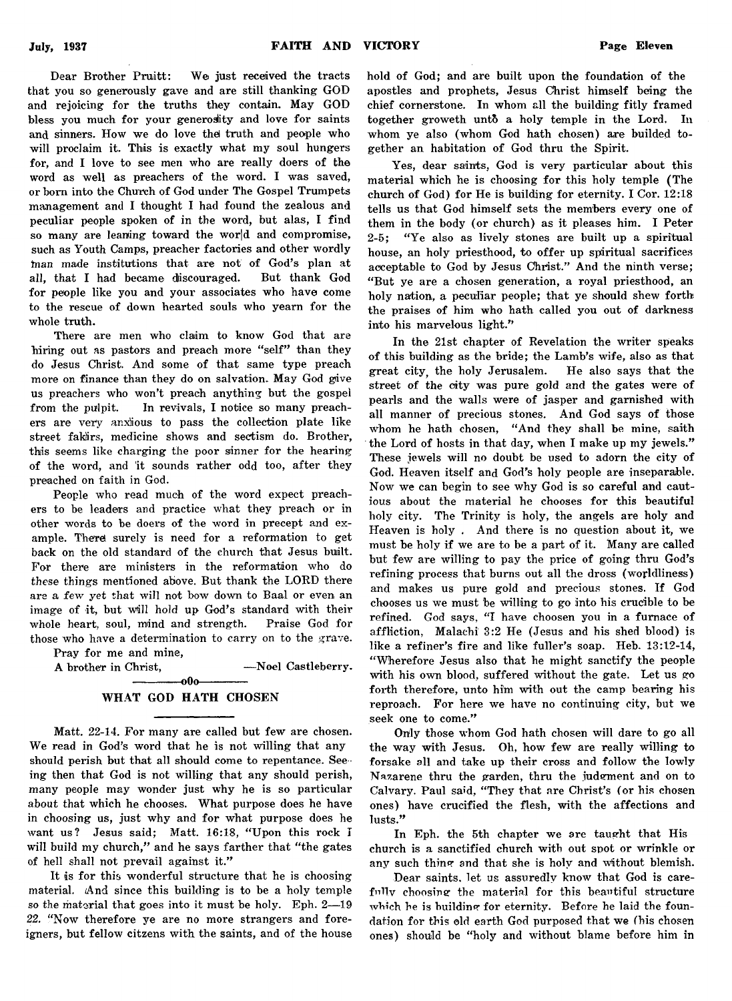Dear Brother Pruitt: We just received the tracts that you so generously gave and are still thanking GOD and rejoicing for the truths they contain. May GOD bless you much for your generosity and love for saints and sinners. How we do love thel truth and people who will proclaim it. This is exactly what my soul hungers for, and I love to see men who are really doers of the word as well as preachers of the word. I was saved, or horn into the Church of God under The Gospel Trumpets management and I thought I had found the zealous and peculiar people spoken of in the word, but alas, I find so many are leaning toward the world and compromise, such as Youth Camps, preacher factories and other wordly tnan made institutions that are not of God's plan at all, that I had became discouraged. But thank God for people like you and your associates who have come to the rescue of down hearted souls who yearn for the whole truth.

There are men who claim to know God that are hiring out as pastors and preach more "self" than they do Jesus Christ. And some of that same type preach more on finance than they do on salvation. May God give us preachers who won't preach anything but the gospel from the pulpit. In revivals, I notice so many preachers are very anxious to pass the collection plate like street fakirs, medicine shows and sectism do. Brother, this seems like charging the poor sinner for the hearing of the word, and it sounds rather odd too, after they preached on faith in God.

People who read much of the word expect preachers to be leaders and practice what they preach or in other words to be doers of the word in precept and example. There surely is need for a reformation to get back on the old standard of the church that Jesus built. For there are ministers in the reformation who do these things mentioned above. But thank the LORD there are a few yet that will not bow down to Baal or even an image of it, but will hold up God's standard with their whole heart, soul, mind and strength. Praise God for those who have a determination to carry on to the grave.

Pray for me and mine,

A brother in Christ, — Noel Castleberry.

#### -000-WHAT GOD HATH CHOSEN

Matt. 22-14. For many are called but few are chosen. We read in God's word that he is not willing that any should perish but that all should come to repentance. See ing then that God is not willing that any should perish, many people may wonder just why he is so particular about that which he chooses. What purpose does he have in choosing us, just why and for what purpose does he want us? Jesus said; Matt. 16:18, "Upon this rock I will build my church," and he says farther that "the gates of hell shall not prevail against it."

It is for this wonderful structure that he is choosing material. And since this building is to be a holy temple so the material that goes into it must be holy. Eph. 2— 19 *22.* "Now therefore ye are no more strangers and foreigners, but fellow citzens with the saints, and of the house

hold of God; and are built upon the foundation of the apostles and prophets, Jesus Christ himself being the chief cornerstone. In whom all the building fitly framed together groweth unto a holy temple in the Lord. In whom ye also (whom God hath chosen) are builded together an habitation of God thru the Spirit.

Yes, dear saints, God is very particular about this material which he is choosing for this holy temple (The church of God) for He is building for eternity. I Cor. 12:18 tells us that God himself sets the members every one of them in the body (or church) as it pleases him. I Peter 2-5; "Ye also as lively stones are built up a spiritual house, an holy priesthood, to offer up spiritual sacrifices acceptable to God by Jesus Christ." And the ninth verse; " But ye are a chosen generation, a royal priesthood, an holy nation, a peculiar people; that ye should shew forth the praises of him who hath called you out of darkness into his marvelous light."

In the 21st chapter of Revelation the writer speaks of this building as the bride; the Lamb's wife, also as that great city, the holy Jerusalem. He also says that the street of the city was pure gold and the gates were of pearls and the walls were of jasper and garnished with all manner of precious stones. And God says of those whom he hath chosen, "And they shall be mine, saith the Lord of hosts in that day, when I make up my jewels." These jewels will no doubt be used to adorn the city of God. Heaven itself and God's holy people are inseparable. Now we can begin to see why God is so careful and cautious about the material he chooses for this beautiful holy city. The Trinity is holy, the angels are holy and Heaven is holy . And there is no question about it, we must be holy if we are to be a part of it. Many are called but few are willing to pay the price of going thru God's refining process that burns out all the dross (worldliness) and makes us pure gold and precious stones. If God chooses us we must be willing to go into his crucible to be refined. God says, "I have choosen you in a furnace of affliction, Malachi 3:2 He (Jesus and his shed blood) is like a refiner's fire and like fuller's soap. Heb. 13:12-14, " Wherefore Jesus also that he might sanctify the people with his own blood, suffered without the gate. Let us go forth therefore, unto him with out the camp bearing his reproach. For here we have no continuing city, but we seek one to come."

Only those whom God hath chosen will dare to go all the way with Jesus. Oh, how few are really willing to forsake all and take up their cross and follow the lowly Nazarene thru the garden, thru the judgment and on to Calvary. Paul said, "They that are Christ's (or his chosen ones) have crucified the flesh, with the affections and lusts."

In Eph. the 5th chapter we are taught that His church is a sanctified church with out spot or wrinkle or any such thing and that she is holy and without blemish.

Dear saints, let us assuredly know that God is carefully choosing the material for this beautiful structure which he is building for eternity. Before he laid the foundation for this old earth God purposed that we (his chosen ones) should be "holy and without blame before him in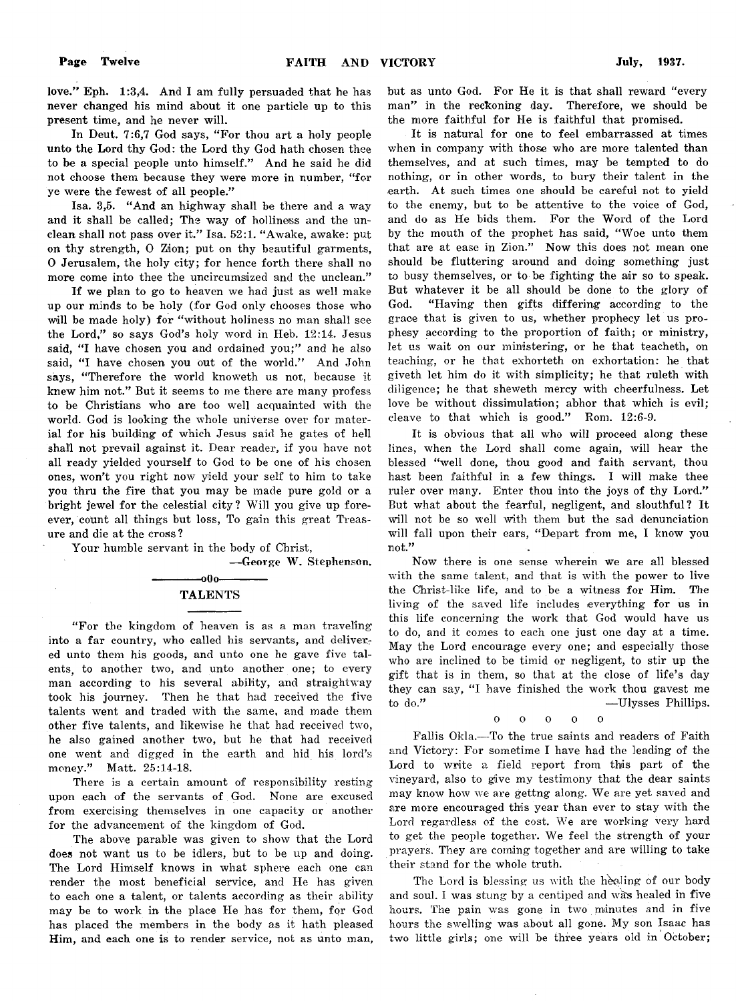love." Eph. 1:3,4. And I am fully persuaded that he has never changed his mind about it one particle up to this present time, and he never will.

In Deut. 7:6,7 God says, "For thou art a holy people unto the Lord thy God: the Lord thy God hath chosen thee to be a special people unto himself." And he said he did not choose them because they were more in number. "for ye were the fewest of all people."

Isa. 3,5. " And an highway shall be there and a way and it shall be called; The way of holliness and the unclean shall not pass over it." Isa. 52:1. " Awake, awake: put on thy strength, 0 Zion; put on thy beautiful garments, 0 Jerusalem, the holy city; for hence forth there shall no more come into thee the uneircumsized and the unclean."

If we plan to go to heaven we had just as well make up our minds to be holy (for God only chooses those who will be made holy) for "without holiness no man shall see the Lord," so says God's holy word in Heb. 12:14. Jesus said. "I have chosen you and ordained you;" and he also said, "I have chosen you out of the world." And John says, "Therefore the world knoweth us not, because it knew him not." But it seems to me there are many profess to be Christians who are too well acquainted with the world. God is looking the whole universe over for material for his building of which Jesus said he gates of hell shall not prevail against it. Dear reader, if you have not all ready yielded yourself to God to be one of his chosen ones, won't you right now yield your self to him to take you thru the fire that you may be made pure gold or a bright jewel for the celestial city? Will you give up foreever, count all things but loss, To gain this great Treasure and die at the cross ?

Your humble servant in the body of Christ,

— George W. Stephenson.

#### $-00$ o-TALENTS

" For the kingdom of heaven is as a man traveling into a far country, who called his servants, and delivered unto them his goods, and unto one he gave five talents, to another two, and unto another one; to every man according to his several ability, and straightway took his journey. Then he that had received the five talents went and traded with the same, and made them other five talents, and likewise he that had received two, he also gained another two, but he that had received one went and digged in the earth and hid his lord's money." Matt. 25:14-18.

There is a certain amount of responsibility resting upon each of the servants of God. None are excused from exercising themselves in one capacity or another for the advancement of the kingdom of God.

The above parable was given to show that the Lord does not want us to be idlers, but to be up and doing. The Lord Himself knows in what sphere each one can render the most beneficial service, and He has given to each one a talent, or talents according as their ability may be to work in the place He has for them, for God has placed the members in the body as it hath pleased Him, and each one is to render service, not as unto man,

but as unto God. For He it is that shall reward "every man" in the reckoning day. Therefore, we should be the more faithful for He is faithful that promised.

It is natural for one to feel embarrassed at times when in company with those who are more talented than themselves, and at such times, may be tempted to do nothing, or in other words, to bury their talent in the earth. At such times one should be careful not to yield to the enemy, but to be attentive to the voice of God, and do as He bids them. For the Word of the Lord by the mouth of the prophet has said, " Woe unto them that are at ease in Zion." Now this does not mean one should be fluttering around and doing something just to busy themselves, or to be fighting the air so to speak. But whatever it be all should be done to the glory of God. " Having then gifts differing according to the grace that is given to us, whether prophecy let us prophesy according to the proportion of faith; or ministry, let us wait on our ministering, or he that teacheth, on teaching, or he that exhorteth on exhortation: he that giveth let him do it with simplicity; he that ruleth with diligence; he that sheweth mercy with cheerfulness. Let love be without dissimulation; abhor that which is evil; cleave to that which is good." Rom. 12:6-9.

It is obvious that all who will proceed along these lines, when the Lord shall come again, will hear the blessed "well done, thou good and faith servant, thou hast been faithful in a few things. I will make thee ruler over many. Enter thou into the joys of thy Lord." But what about the fearful, negligent, and slouthful? It will not be so well with them but the sad denunciation will fall upon their ears, "Depart from me, I know you not."

Now there is one sense wherein we are all blessed with the same talent, and that is with the power to live the Christ-like life, and to be a witness for Him. The living of the saved life includes everything for us in this life concerning the work that God would have us to do, and it comes to each one just one day at a time. May the Lord encourage every one; and especially those who are inclined to be timid or negligent, to stir up the gift that is in them, so that at the close of life's day they can say, "I have finished the work thou gavest me to do." —Ulysses Phillips,

> $\alpha$ ooooo

Fallis Okla.— To the true saints and readers of Faith and Victory: For sometime I have had the leading of the Lord to write a field report from this part of the vineyard, also to give my testimony that the dear saints may know how we are gettng along. We are yet saved and are more encouraged this year than ever to stay with the Lord regardless of the cost. We are working very hard to get the people together. We feel the strength of your prayers. They are coming together and are Willing to take their stand for the whole truth.

The Lord is blessing us with the healing of our body and soul. I was stung by a centiped and was healed in five hours. The pain was gone in two minutes and in five hours the swelling was about all gone. My son Isaac has two little girls; one will be three years old in October;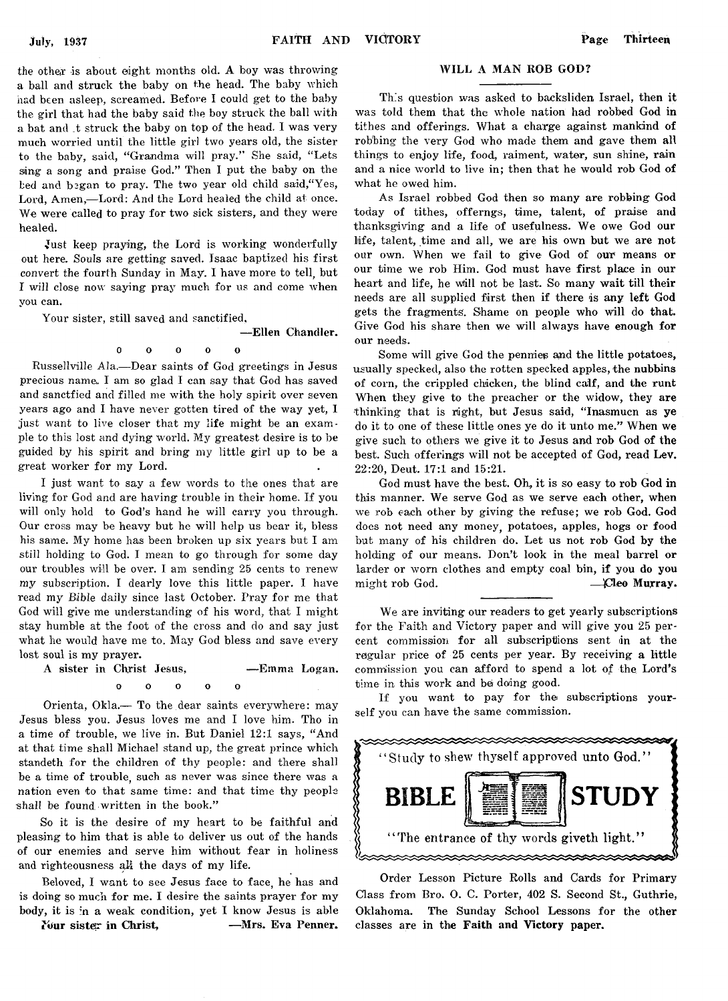the other is about eight months old. A boy was throwing a ball and struck the baby on the head. The baby which had been asleep, screamed. Before I could get to the baby the girl that had the baby said the boy struck the ball with a bat and \_t struck the baby on top of the head. I was very much worried until the little girl two years old, the sister to the baby, said, "Grandma will pray." She said, "Lets sing a song and praise God." Then I put the baby on the bed and began to pray. The two year old child said, "Yes, Lord, Amen,— Lord: And the Lord healed the child at once. We were called to pray for two sick sisters, and they were healed.

Just keep praying, the Lord is working wonderfully out here. Souls are getting saved. Isaac baptized his first convert the fourth Sunday in May. I have more to tell, but I will close now saying pray much for us and come when you can.

Your sister, still saved and sanctified,

— Ellen Chandler.

#### 0 0 o o o

Russellville Ala.— Dear saints of God greetings in Jesus precious name,. I am so glad I can say that God has saved and sanctfied and filled me with the holy spirit over seven years ago and I have never gotten tired of the way yet, I just want to live closer that my life might be an example to this lost and dying world. My greatest desire is to be guided by his spirit and bring my little girl up to be a great worker for my Lord.

I just want to say a few words to the ones that are living for God and are having trouble in their home. If you will only hold to God's hand he will carry you through. Our cross may be heavy but he will help us bear it, bless his same. My home has been broken up six years but I am still holding to God. I mean to go through for some day our troubles will be over. I am sending 25 cents to renew my subscription. I dearly love this little paper. I have read my *Bible* daily since last October. Pray for me that God will give me understanding of his word, that I might stay humble at the foot of the cross and do and say just what he would have me to. May God bless and save every lost soul is my prayer.

A sister in Christ Jesus, — Emma Logan,

ooooo  $\Omega$ 

Orienta, Okla.— To the.dear saints everywhere: may Jesus bless you. Jesus loves me and I love him. Tho in a time of trouble, we live in. But Daniel 12:1 says, " And at that time shall Michael stand up, the great prince which standeth for the children of thy people: and there shall be a time of trouble, such as never was since there was a nation even to that same time: and that time thy people shall be found, written in the book."

So it is the desire of my heart to be faithful and pleasing to him that is able to deliver us out of the hands of our enemies and serve him without fear in holiness and righteousness *aM* the days of my life.

Beloved, I want to see Jesus face to face, he has and is doing so much for me. I desire the saints prayer for my body, it is in a weak condition, yet I know Jesus is able

?bur sister in Christ, — Mrs. Eva Penner.

#### WILL A MAN ROB GOD?

This question was asked to backsliden Israel, then it was told them that the whole nation had robbed God in tithes and offerings. What a charge against mankind of robbing the very God who made them and gave them all things to enjoy life, food, raiment, water, sun shine, rain and a nice world to live in; then that he would rob God of what he owed him.

As Israel robbed God then so many are robbing God today of tithes, offerngs, time, talent, of praise and thanksgiving and a life of usefulness. We owe God our life, talent, time and all, we are his own but we are not our own. When we fail to give God of our means or our time we rob Him. God must have first place in our heart and life, he will not be last. So many wait till their needs are all supplied first then if there is any left God gets the fragments. Shame on people who will do that. Give God his share then we will always have enough for our needs.

Some will give God the pennies and the little potatoes, usually specked, also the rotten specked apples, the nubbins of corn, the crippled chicken, the blind calf, and the runt When they give to the preacher or the widow, they are thinking that is right, but Jesus said, "Inasmucn as ve do it to one of these little ones ye do it unto me." When we give such to others we give it to Jesus and rob God of the best. Such offerings will not be accepted of God, read Lev. 22:20, Deut. 17:1 and 15:21.

God must have the best. Oh, it is so easy to rob God in this manner. We serve God as we serve each other, when we rob each other by giving the refuse; we rob God. God does not need any money, potatoes, apples, hogs or food but many of his children do. Let us not rob God by the holding of our means. Don't look in the meal barrel or larder or worn clothes and empty coal bin, if you do you might rob God. — £Teo Murray.

We are inviting our readers to get yearly subscriptions for the Faith and Victory paper and will give you 25 percent commission for all subscriptions sent in at the regular price of 25 cents per year. By receiving a little commission you can afford to spend a lot of the Lord's time in this work and be doing good.

If you want to pay for the subscriptions yourself you can have the same commission.



Order Lesson Picture Rolls and Cards for Primary Class from Bro. 0. C. Porter, 402 S. Second St., Guthrie, Oklahoma. The Sunday School Lessons for the other classes are in the Faith and Victory paper.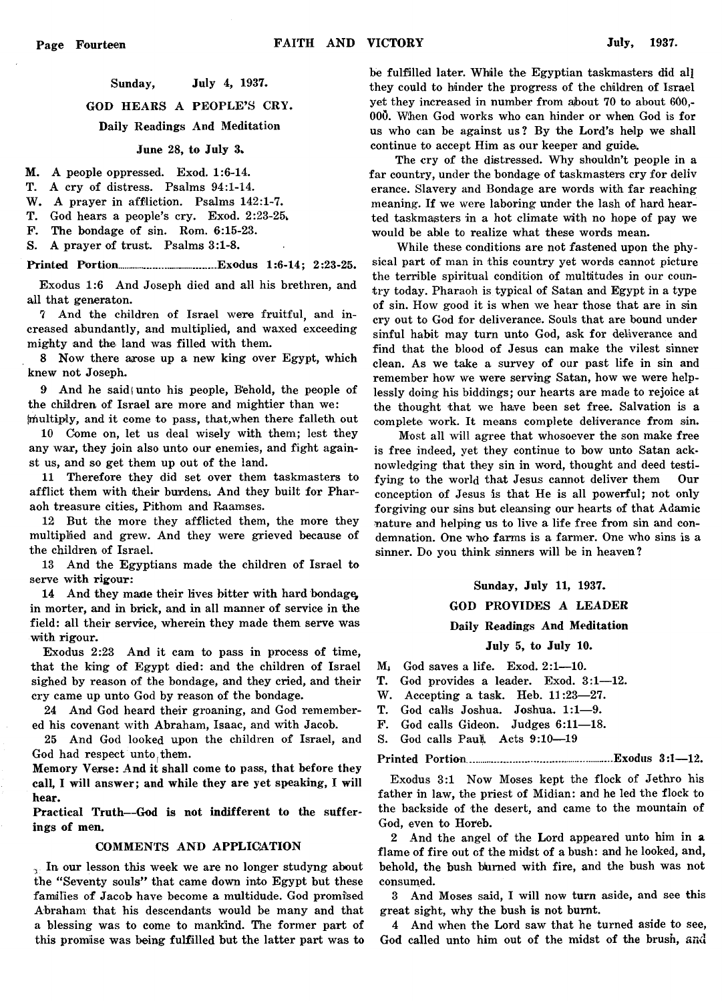#### Sunday, July 4, 1937.

GOD HEARS A PEOPLE'S CRY.

Daily Readings And Meditation

#### June 28, to July 3k

- M. A people oppressed. Exod. 1:6-14.
- T. A cry of distress. Psalms 94:1-14.
- W. A prayer in affliction. Psalms 142:1-7.

T. God hears a people's cry. Exod. 2:23-25;

- F. The bondage of sin. Rom. 6:15-23.
- S. A prayer of trust. Psalms 3:1-8.

Printed Portion................................Exodus 1:6-14; 2:23-25.

Exodus 1:6 And Joseph died and all his brethren, and all that generaton.

7 And the children of Israel were fruitful, and increased abundantly, and multiplied, and waxed exceeding mighty and the land was filled with them.

8 Now there arose up a new king over Egypt, which knew not Joseph.

9 And he said unto his people, Behold, the people of the children of Israel are more and mightier than we:

(multiply, and it come to pass, that,when there falleth out 10 Come on, let us deal wisely with them; lest they any war, they join also unto our enemies, and fight against us, and so get them up out of the land.

11 Therefore they did set over them taskmasters to afflict them with their burdens; And they built for Pharaoh treasure cities, Pithom and Raamses.

12 But the more they afflicted them, the more they multiplied and grew. And they were grieved because of the children of Israel.

13 And the Egyptians made the children of Israel to serve with rigour:

14 And they made their lives bitter with hard bondage. in morter, and in brick, and in all manner of service in the field: all their service, wherein they made them serve was with rigour.

Exodus 2:23 And it cam to pass in process of time, that the king of Egypt died: and the children of Israel sighed by reason of the bondage, and they cried, and their cry came up unto God by reason of the bondage.

24 And God heard their groaning, and God remembered his covenant with Abraham, Isaac, and with Jacob.

25 And God looked upon the children of Israel, and God had respect unto them.

Memory Verse: And it shall come to pass, that before they call, I will answer; and while they are yet speaking, I will hear.

Practical Truth— God is not indifferent to the sufferings of men.

#### COMMENTS AND APPLICATION

In our lesson this week we are no longer studyng about the "Seventy souls" that came down into Egypt but these families of Jacob have become a multidude. God promised Abraham that his descendants would be many and that a blessing was to come to mankind. The former part of this promise was being fulfilled but the latter part was to

be fulfilled later. While the Egyptian taskmasters did all they could to hinder the progress of the children of Israel yet they increased in number from ajbout 70 to about 600,- OOQ. When God works who can hinder or when God is for us who can be against us? By the Lord's help we shall continue to accept Him as our keeper and guide.

The cry of the distressed. Why shouldn't people in a far country, under the bondage of taskmasters cry for deliv erance. Slavery and Bondage are words with far reaching meaning. If we were laboring under the lash of hard hearted taskmasters in a hot climate with no hope of pay we would be able to realize what these words mean.

While these conditions are not fastened upon the physical part of man in this country yet words cannot picture the terrible spiritual condition of multitudes in our country today. Pharaoh is typical of Satan and Egypt in a type of sin. How good it is when we hear those that are in sin cry out to God for deliverance. Souls that are bound under sinful habit may turn unto God, ask for deliverance and find that the blood of Jesus can make the vilest sinner clean. As we take a survey of our past life in sin and remember how we were serving Satan, how we were helplessly doing his biddings; our hearts are made to rejoice at the thought that we have been set free. Salvation is a complete work. It means complete deliverance from sin.

Most all will agree that whosoever the son make free is free indeed, yet they continue to bow unto Satan acknowledging that they sin in word, thought and deed testifying to the world that Jesus cannot deliver them Our conception of Jesus is that He is all powerful; not only forgiving our sins but cleansing our hearts of that Adamic nature and helping us to live a life free from sin and condemnation. One who farms is a farmer. One who sins is a sinner. Do you think sinners will be in heaven?

#### Sunday, July 11, 1937.

#### GOD PROVIDES A LEADER

#### Daily Readings And Meditation

July 5, to July 10.

- $M<sub>1</sub>$  God saves a life. Exod. 2:1-10.
- T. God provides a leader. Exod. 3:1— 12.
- W. Accepting a task. Heb. 11:23-27.
- T. God calls Joshua. Joshua. 1:1— 9.
- F. God calls Gideon. Judges 6:11-18.
- S. God calls Paul. Acts 9:10-19

#### Printed Portion............................................... Exodus 3:1— 12.

Exodus 3:1 Now Moses kept the flock of Jethro his father in law, the priest of Midian: and he led the flock to the backside of the desert, and came to the mountain of God, even to Horeb.

2 And the angel of the Lord appeared unto him in a flame of fire out cf the midst of a bush: and he looked, and, behold, the bush burned with fire, and the bush was not consumed.

3 And Moses said, I will now turn aside, and see this great sight, why the bush is not burnt.

4 And when the Lord saw that he turned aside to see, God called unto him out of the midst of the brush, and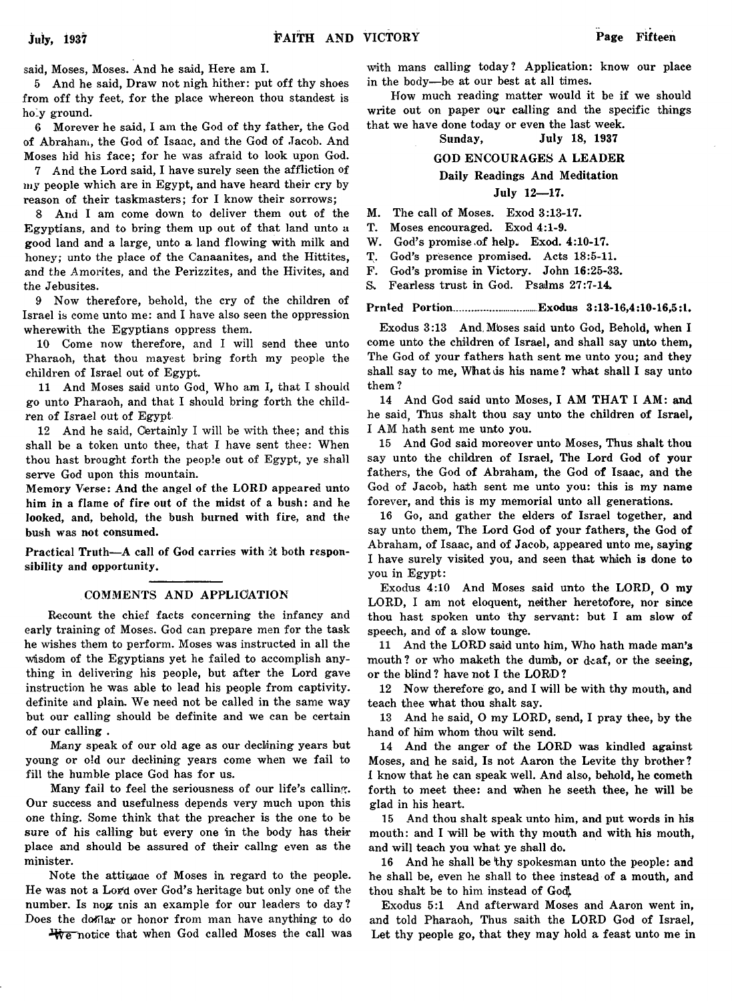said, Moses, Moses. And he said, Here am I.

5 And he said, Draw not nigh hither: put off thy shoes from off thy feet, for the place whereon thou standest is holy ground.

6 Morever he said, I am the God of thy father, the God of Abraham, the God of Isaac, and the God of Jacob. And Moses hid his face; for he was afraid to look upon God.

7 And the Lord said, I have surely seen the affliction of my people which are in Egypt, and have heard their cry by reason of their taskmasters; for I know their sorrows;

8 And I am come down to deliver them out of the Egyptians, and to bring them up out of that land unto a good land and a large, unto a land flowing with milk and honey; unto the place of the Canaanites, and the Hittites, and the Amorites, and the Perizzites, and the Hivites, and the Jebusites.

9 Now therefore, behold, the cry of the children of Israel is come unto me: and I have also seen the oppression wherewith the Egyptians oppress them.

10 Come now therefore, and I will send thee unto Pharaoh, that thou mayest bring forth my people the children of Israel out of Egypt.

11 And Moses said unto God, Who am I, that I should go unto Pharaoh, and that I should bring forth the children of Israel out of Egypt

12 And he said, Certainly I will be with thee; and this shall be a token unto thee, that I have sent thee: When thou hast brought forth the people out of Egypt, ye shall serve God upon this mountain.

Memory Verse: And the angel of the LORD appeared unto him in a flame of fire out of the midst of a bush: and he looked, and, behold, the bush burned with fire, and the bush was not consumed.

Practical Truth—A call of God carries with it both responsibility and opportunity.

#### COMMENTS AND APPLICATION

Recount the chief facts concerning the infancy and early training of Moses. God can prepare men for the task he wishes them to perform. Moses was instructed in all the Wisdom of the Egyptians yet he failed to accomplish anything in delivering his people, but after the Lord gave instruction he was able to lead his people from captivity, definite and plain. We need not be called in the same way but our calling should be definite and we can be certain of our calling .

Many speak of our old age as our declining years but young or old our declining years come when we fail to fill the humble place God has for us.

Many fail to feel the seriousness of our life's calling. Our success and usefulness depends very much upon this one thing. Some think that the preacher is the one to be sure of his calling but every one in the body has their place and should be assured of their callng even as the minister.

Note the attituace of Moses in regard to the people. He was not a Lor'd over God's heritage but only one of the number. Is now this an example for our leaders to day? Does the dofflar or honor from man have anything to do

We notice that when God called Moses the call was

with mans calling today? Application: know our place in the body— be at our best at all times.

How much reading matter would it be if we should write out on paper our calling and the specific things that we have done today or even the last week.

Sunday, July 18, 1937

#### GOD ENCOURAGES A LEADER

#### Daily Readings And Meditation

#### July 12— 17.

M. The call of Moses. Exod 3:13-17.

T. Moses encouraged. Exod 4:1-9.

W. God's promise of help. Exod. 4:10-17.

T. God's presence promised. Acts 18:5-11.

F. God's promise in Victory. John 16:25-33.

S. Fearless trust in God. Psalms 27:7-14.

Prnted Portion...........................Exodus 3:13-16,4:10-16,5:1.

Exodus 3:13 And, Mbses said unto God, Behold, when I come unto the children of Israel, and shall say unto them, The God of your fathers hath sent me unto you; and they shall say to me, What is his name? what shall I say unto them ?

14 And God said unto Moses, I AM THAT I AM: and he said, Thus shalt thou say unto the children of Israel, I AM hath sent me unto you.

15 And God said moreover unto Moses, Thus shalt thou say unto the children of Israel, The Lord God of your fathers, the God of Abraham, the God of Isaac, and the God of Jacob, hath sent me unto you: this is my name forever, and this is my memorial unto all generations.

16 Go, and gather the elders of Israel together, and say unto them, The Lord God of your fathers, the God of Abraham, of Isaac, and of Jacob, appeared unto me, saying I have surely visited you, and seen that which is done to you in Egypt:

Exodus 4:10 And Moses said unto the LORD, O my LORD, I am not eloquent, neither heretofore, nor since thou hast spoken unto thy servant: but I am slow of speech, and of a slow tounge.

11 And the LORD said unto him, Who hath made man's mouth? or who maketh the dumb, or deaf, or the seeing, or the blind ? have not I the LORD ?

12 Now therefore go, and I will be with thy mouth, and teach thee what thou shalt say.

13 And he said, O my LORD, send, I pray thee, by the hand of him whom thou wilt send.

14 And the anger of the LORD was kindled against Moses, and he said, Is not Aaron the Levite thy brother? I know that he can speak well. And also, behold, he cometh forth to meet thee: and when he seeth thee, he will be glad in his heart.

15 And thou shalt speak unto him, and put words in his mouth: and I will be with thy mouth and with his mouth, and will teach you what ye shall do.

16 And he shall be thy spokesman unto the people: and he shall be, even he shall to thee instead of a mouth, and thou shalt be to him instead of Godj.

Exodus 5:1 And afterward Moses and Aaron went in, and told Pharaoh, Thus saith the LORD God of Israel, Let thy people go, that they may hold a feast unto me in